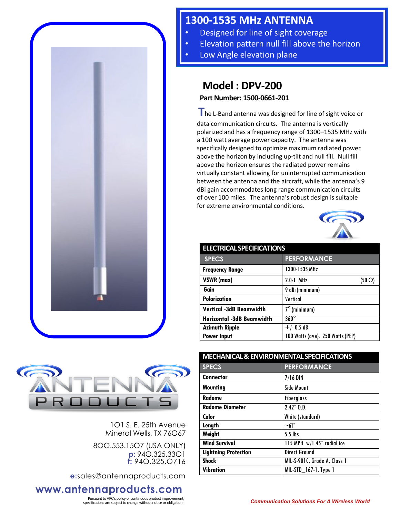

## **1300-1535 MHz ANTENNA**

- Designed for line of sight coverage
- **Elevation pattern null fill above the horizon**
- Low Angle elevation plane

## **Model : DPV-200**

**Part Number: 1500-0661-201**

**T**he L-Band antenna was designed for line of sight voice or data communication circuits. The antenna is vertically polarized and has a frequency range of 1300–1535 MHz with a 100 watt average power capacity. The antenna was specifically designed to optimize maximum radiated power above the horizon by including up-tilt and null fill. Null fill above the horizon ensures the radiated power remains virtually constant allowing for uninterrupted communication between the antenna and the aircraft, while the antenna's 9 dBi gain accommodates long range communication circuits of over 100 miles. The antenna's robust design is suitable for extreme environmental conditions.



| <b>ELECTRICAL SPECIFICATIONS</b> |                                  |
|----------------------------------|----------------------------------|
| <b>SPECS</b>                     | <b>PERFORMANCE</b>               |
| <b>Frequency Range</b>           | 1300-1535 MHz                    |
| VSWR (max)                       | $2.0.1$ MHz<br>$(50 \Omega)$     |
| Gain                             | 9 dBi (minimum)                  |
| <b>Polarization</b>              | Vertical                         |
| <b>Vertical -3dB Beamwidth</b>   | $7^\circ$ (minimum)              |
| <b>Horizontal -3dB Beamwidth</b> | $360^\circ$                      |
| <b>Azimuth Ripple</b>            | $+/- 0.5 dB$                     |
| <b>Power Input</b>               | 100 Watts (ave), 250 Watts (PEP) |

| <b>MECHANICAL &amp; ENVIRONMENTAL SPECIFICATIONS</b> |                              |
|------------------------------------------------------|------------------------------|
| <b>SPECS</b>                                         | <b>PERFORMANCE</b>           |
| <b>Connector</b>                                     | $7/16$ DIN                   |
| <b>Mounting</b>                                      | <b>Side Mount</b>            |
| Radome                                               | <b>Fiberglass</b>            |
| <b>Radome Diameter</b>                               | $2.42"$ $0.D.$               |
| Color                                                | White (standard)             |
| Length                                               | ~1                           |
| Weight                                               | 5.5 lbs                      |
| <b>Wind Survival</b>                                 | 115 MPH w/1.45" radial ice   |
| <b>Lightning Protection</b>                          | <b>Direct Ground</b>         |
| <b>Shock</b>                                         | MIL-S-901C, Grade A, Class 1 |
| Vibration                                            | MIL-STD_167-1, Type 1        |



1O1 S. E. 25th Avenue Mineral Wells, TX 76O67

8OO.553.15O7 (USA ONLY) **p:** 94O.325.33O1 **f:** 94O.325.O716

**e:**sales@antennaproducts.com

## **www.antennaproducts.com**

Pursuant to APC's policy of continuous product improvement,